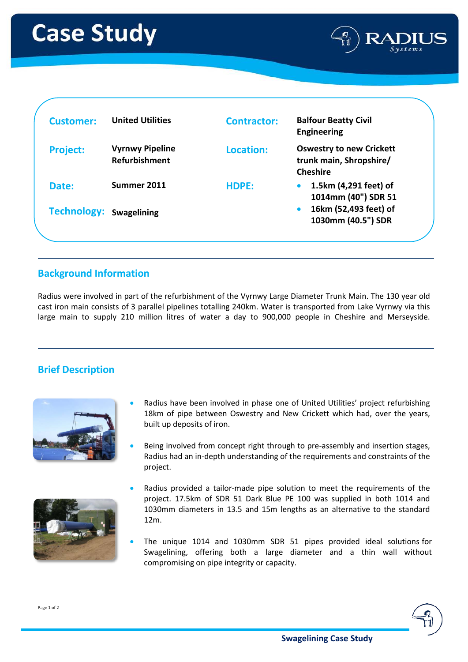

| <b>Customer:</b>               | <b>United Utilities</b>                        | <b>Contractor:</b> | <b>Balfour Beatty Civil</b><br><b>Engineering</b>                             |
|--------------------------------|------------------------------------------------|--------------------|-------------------------------------------------------------------------------|
| <b>Project:</b>                | <b>Vyrnwy Pipeline</b><br><b>Refurbishment</b> | Location:          | <b>Oswestry to new Crickett</b><br>trunk main, Shropshire/<br><b>Cheshire</b> |
| Date:                          | Summer 2011                                    | HDPE:              | 1.5km (4,291 feet) of<br>1014mm (40") SDR 51                                  |
| <b>Technology: Swagelining</b> |                                                |                    | 16km (52,493 feet) of<br>1030mm (40.5") SDR                                   |

## **Background Information**

Radius were involved in part of the refurbishment of the Vyrnwy Large Diameter Trunk Main. The 130 year old cast iron main consists of 3 parallel pipelines totalling 240km. Water is transported from Lake Vyrnwy via this large main to supply 210 million litres of water a day to 900,000 people in Cheshire and Merseyside.

## **Brief Description**





- Radius have been involved in phase one of United Utilities' project refurbishing 18km of pipe between Oswestry and New Crickett which had, over the years, built up deposits of iron.
- Being involved from concept right through to pre-assembly and insertion stages, Radius had an in-depth understanding of the requirements and constraints of the project.
- Radius provided a tailor-made pipe solution to meet the requirements of the project. 17.5km of SDR 51 Dark Blue PE 100 was supplied in both 1014 and 1030mm diameters in 13.5 and 15m lengths as an alternative to the standard 12m.
- The unique 1014 and 1030mm SDR 51 pipes provided ideal solutions for Swagelining, offering both a large diameter and a thin wall without compromising on pipe integrity or capacity.